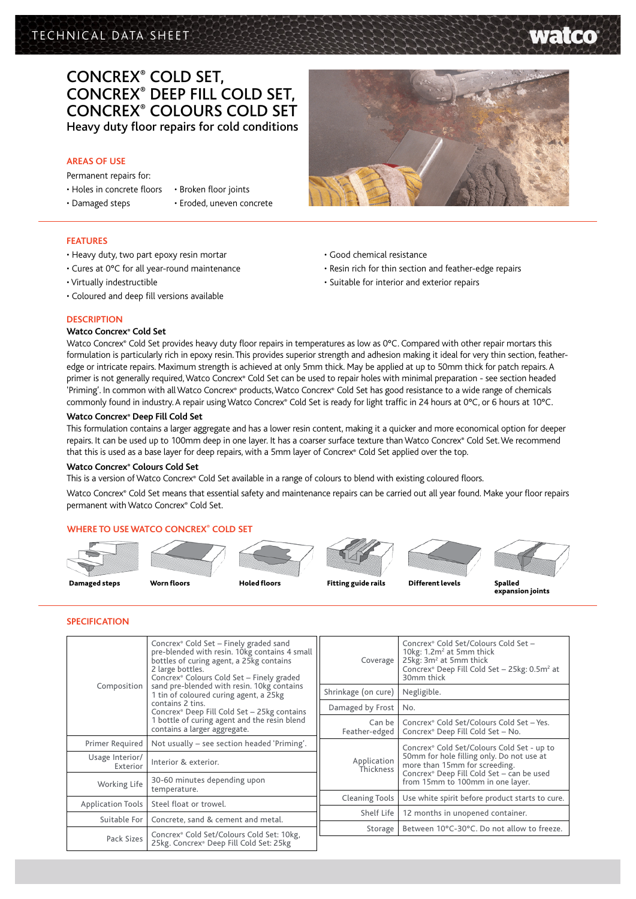# TECHNICAL DATA SHEET

# Concrex® Cold Set, Concrex® Deep Fill Cold Set, Concrex® Colours Cold Set Heavy duty floor repairs for cold conditions

# **AREAS OF USE**

Permanent repairs for:

- Holes in concrete floors
- Damaged steps
- Broken floor joints
- 
- Eroded, uneven concrete
- **FEATURES**
- Heavy duty, two part epoxy resin mortar
- Cures at 0°C for all year-round maintenance
- Virtually indestructible
- Coloured and deep fill versions available
- Good chemical resistance
- Resin rich for thin section and feather-edge repairs
- Suitable for interior and exterior repairs

# **DESCRIPTION**

### **Watco Concrex® Cold Set**

Watco Concrex® Cold Set provides heavy duty floor repairs in temperatures as low as 0°C. Compared with other repair mortars this formulation is particularly rich in epoxy resin. This provides superior strength and adhesion making it ideal for very thin section, featheredge or intricate repairs. Maximum strength is achieved at only 5mm thick. May be applied at up to 50mm thick for patch repairs. A primer is not generally required, Watco Concrex® Cold Set can be used to repair holes with minimal preparation - see section headed 'Priming'. In common with all Watco Concrex® products, Watco Concrex® Cold Set has good resistance to a wide range of chemicals commonly found in industry. A repair using Watco Concrex® Cold Set is ready for light traffic in 24 hours at 0°C, or 6 hours at 10°C.

# **Watco Concrex® Deep Fill Cold Set**

This formulation contains a larger aggregate and has a lower resin content, making it a quicker and more economical option for deeper repairs. It can be used up to 100mm deep in one layer. It has a coarser surface texture than Watco Concrex® Cold Set. We recommend that this is used as a base layer for deep repairs, with a 5mm layer of Concrex® Cold Set applied over the top.

#### **Watco Concrex® Colours Cold Set**

This is a version of Watco Concrex® Cold Set available in a range of colours to blend with existing coloured floors.

Watco Concrex® Cold Set means that essential safety and maintenance repairs can be carried out all year found. Make your floor repairs permanent with Watco Concrex® Cold Set.

## **Where to use Watco Concrex® cold set**



## **Specification**

| Composition                 | Concrex® Cold Set - Finely graded sand<br>pre-blended with resin. 10kg contains 4 small<br>bottles of curing agent, a 25kg contains<br>2 large bottles.<br>Concrex® Colours Cold Set - Finely graded<br>sand pre-blended with resin. 10kg contains<br>1 tin of coloured curing agent, a 25kg<br>contains 2 tins.<br>Concrex® Deep Fill Cold Set - 25kg contains<br>1 bottle of curing agent and the resin blend<br>contains a larger aggregate. | Coverage                                              | Concrex® Cold Set/Colours Cold Set -<br>10kg: 1.2m <sup>2</sup> at 5mm thick<br>25kg: 3m <sup>2</sup> at 5mm thick<br>Concrex® Deep Fill Cold Set - 25kg: 0.5m <sup>2</sup> at<br>30mm thick              |  |
|-----------------------------|-------------------------------------------------------------------------------------------------------------------------------------------------------------------------------------------------------------------------------------------------------------------------------------------------------------------------------------------------------------------------------------------------------------------------------------------------|-------------------------------------------------------|-----------------------------------------------------------------------------------------------------------------------------------------------------------------------------------------------------------|--|
|                             |                                                                                                                                                                                                                                                                                                                                                                                                                                                 | Shrinkage (on cure)                                   | Negligible.                                                                                                                                                                                               |  |
|                             |                                                                                                                                                                                                                                                                                                                                                                                                                                                 | Damaged by Frost                                      | No.                                                                                                                                                                                                       |  |
|                             |                                                                                                                                                                                                                                                                                                                                                                                                                                                 | Can be<br>Feather-edged                               | Concrex® Cold Set/Colours Cold Set - Yes.<br>Concrex <sup>®</sup> Deep Fill Cold Set - No.                                                                                                                |  |
| Primer Required             | Not usually – see section headed 'Priming'.                                                                                                                                                                                                                                                                                                                                                                                                     |                                                       | Concrex® Cold Set/Colours Cold Set - up to<br>50mm for hole filling only. Do not use at<br>more than 15mm for screeding.<br>Concrex® Deep Fill Cold Set - can be used<br>from 15mm to 100mm in one layer. |  |
| Usage Interior/<br>Exterior | Interior & exterior.                                                                                                                                                                                                                                                                                                                                                                                                                            | Application<br>Thickness                              |                                                                                                                                                                                                           |  |
| Working Life                | 30-60 minutes depending upon<br>temperature.                                                                                                                                                                                                                                                                                                                                                                                                    |                                                       |                                                                                                                                                                                                           |  |
| <b>Application Tools</b>    | Steel float or trowel.                                                                                                                                                                                                                                                                                                                                                                                                                          | <b>Cleaning Tools</b>                                 | Use white spirit before product starts to cure.                                                                                                                                                           |  |
| Suitable For                | Concrete, sand & cement and metal.                                                                                                                                                                                                                                                                                                                                                                                                              | Shelf Life                                            | 12 months in unopened container.                                                                                                                                                                          |  |
| Pack Sizes                  | Concrex® Cold Set/Colours Cold Set: 10kg,<br>25kg. Concrex® Deep Fill Cold Set: 25kg                                                                                                                                                                                                                                                                                                                                                            | Between 10°C-30°C. Do not allow to freeze.<br>Storage |                                                                                                                                                                                                           |  |
|                             |                                                                                                                                                                                                                                                                                                                                                                                                                                                 |                                                       |                                                                                                                                                                                                           |  |